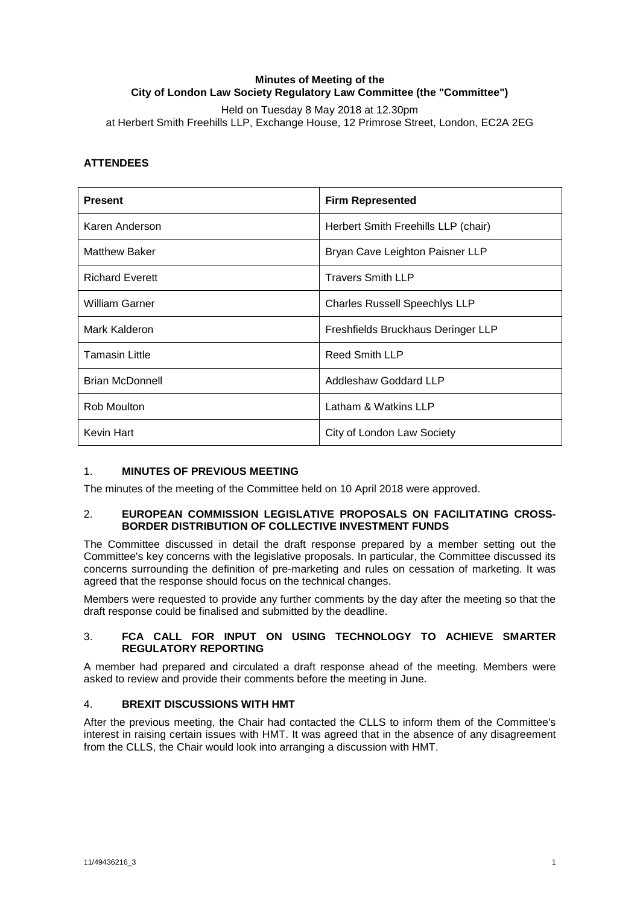## **Minutes of Meeting of the City of London Law Society Regulatory Law Committee (the "Committee")**

Held on Tuesday 8 May 2018 at 12.30pm at Herbert Smith Freehills LLP, Exchange House, 12 Primrose Street, London, EC2A 2EG

# **ATTENDEES**

| <b>Present</b>         | <b>Firm Represented</b>              |
|------------------------|--------------------------------------|
| Karen Anderson         | Herbert Smith Freehills LLP (chair)  |
| <b>Matthew Baker</b>   | Bryan Cave Leighton Paisner LLP      |
| <b>Richard Everett</b> | <b>Travers Smith LLP</b>             |
| <b>William Garner</b>  | <b>Charles Russell Speechlys LLP</b> |
| Mark Kalderon          | Freshfields Bruckhaus Deringer LLP   |
| <b>Tamasin Little</b>  | <b>Reed Smith LLP</b>                |
| <b>Brian McDonnell</b> | Addleshaw Goddard LLP                |
| Rob Moulton            | Latham & Watkins LLP                 |
| Kevin Hart             | City of London Law Society           |

## 1. **MINUTES OF PREVIOUS MEETING**

The minutes of the meeting of the Committee held on 10 April 2018 were approved.

### 2. **EUROPEAN COMMISSION LEGISLATIVE PROPOSALS ON FACILITATING CROSS-BORDER DISTRIBUTION OF COLLECTIVE INVESTMENT FUNDS**

The Committee discussed in detail the draft response prepared by a member setting out the Committee's key concerns with the legislative proposals. In particular, the Committee discussed its concerns surrounding the definition of pre-marketing and rules on cessation of marketing. It was agreed that the response should focus on the technical changes.

Members were requested to provide any further comments by the day after the meeting so that the draft response could be finalised and submitted by the deadline.

## 3. **FCA CALL FOR INPUT ON USING TECHNOLOGY TO ACHIEVE SMARTER REGULATORY REPORTING**

A member had prepared and circulated a draft response ahead of the meeting. Members were asked to review and provide their comments before the meeting in June.

## 4. **BREXIT DISCUSSIONS WITH HMT**

After the previous meeting, the Chair had contacted the CLLS to inform them of the Committee's interest in raising certain issues with HMT. It was agreed that in the absence of any disagreement from the CLLS, the Chair would look into arranging a discussion with HMT.